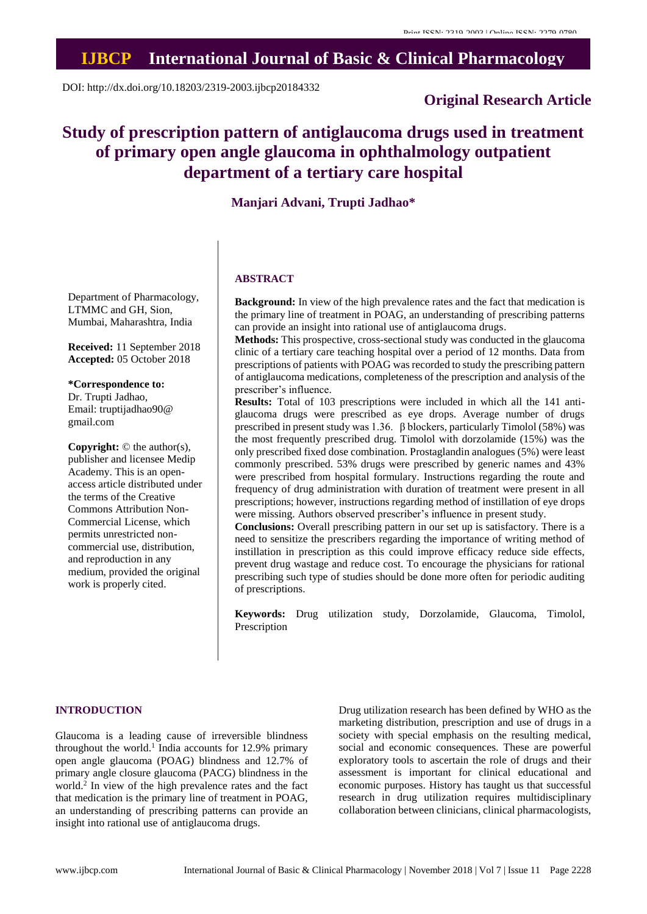# **IJBCP International Journal of Basic & Clinical Pharmacology**

DOI: http://dx.doi.org/10.18203/2319-2003.ijbcp20184332

# **Original Research Article**

# **Study of prescription pattern of antiglaucoma drugs used in treatment of primary open angle glaucoma in ophthalmology outpatient department of a tertiary care hospital**

## **Manjari Advani, Trupti Jadhao\***

Department of Pharmacology, LTMMC and GH, Sion, Mumbai, Maharashtra, India

**Received:** 11 September 2018 **Accepted:** 05 October 2018

**\*Correspondence to:** Dr. Trupti Jadhao, Email: truptijadhao90@ gmail.com

**Copyright:** © the author(s), publisher and licensee Medip Academy. This is an openaccess article distributed under the terms of the Creative Commons Attribution Non-Commercial License, which permits unrestricted noncommercial use, distribution, and reproduction in any medium, provided the original work is properly cited.

#### **ABSTRACT**

**Background:** In view of the high prevalence rates and the fact that medication is the primary line of treatment in POAG, an understanding of prescribing patterns can provide an insight into rational use of antiglaucoma drugs.

**Methods:** This prospective, cross-sectional study was conducted in the glaucoma clinic of a tertiary care teaching hospital over a period of 12 months. Data from prescriptions of patients with POAG was recorded to study the prescribing pattern of antiglaucoma medications, completeness of the prescription and analysis of the prescriber's influence.

**Results:** Total of 103 prescriptions were included in which all the 141 antiglaucoma drugs were prescribed as eye drops. Average number of drugs prescribed in present study was 1.36. β blockers, particularly Timolol (58%) was the most frequently prescribed drug. Timolol with dorzolamide (15%) was the only prescribed fixed dose combination. Prostaglandin analogues (5%) were least commonly prescribed. 53% drugs were prescribed by generic names and 43% were prescribed from hospital formulary. Instructions regarding the route and frequency of drug administration with duration of treatment were present in all prescriptions; however, instructions regarding method of instillation of eye drops were missing. Authors observed prescriber's influence in present study.

**Conclusions:** Overall prescribing pattern in our set up is satisfactory. There is a need to sensitize the prescribers regarding the importance of writing method of instillation in prescription as this could improve efficacy reduce side effects, prevent drug wastage and reduce cost. To encourage the physicians for rational prescribing such type of studies should be done more often for periodic auditing of prescriptions.

**Keywords:** Drug utilization study, Dorzolamide, Glaucoma, Timolol, Prescription

## **INTRODUCTION**

Glaucoma is a leading cause of irreversible blindness throughout the world. 1 India accounts for 12.9% primary open angle glaucoma (POAG) blindness and 12.7% of primary angle closure glaucoma (PACG) blindness in the world. 2 In view of the high prevalence rates and the fact that medication is the primary line of treatment in POAG, an understanding of prescribing patterns can provide an insight into rational use of antiglaucoma drugs.

Drug utilization research has been defined by WHO as the marketing distribution, prescription and use of drugs in a society with special emphasis on the resulting medical, social and economic consequences. These are powerful exploratory tools to ascertain the role of drugs and their assessment is important for clinical educational and economic purposes. History has taught us that successful research in drug utilization requires multidisciplinary collaboration between clinicians, clinical pharmacologists,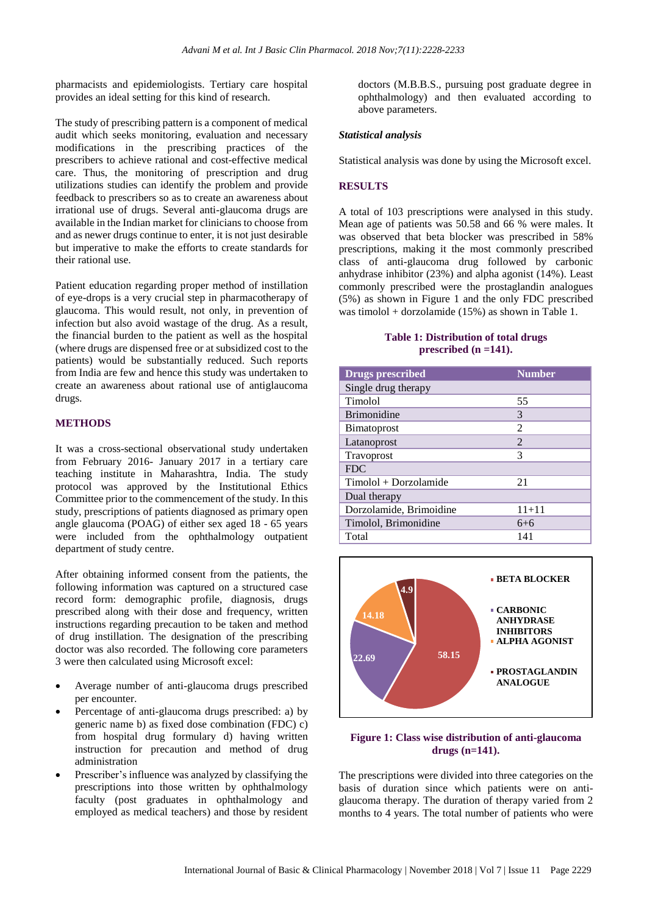pharmacists and epidemiologists. Tertiary care hospital provides an ideal setting for this kind of research.

The study of prescribing pattern is a component of medical audit which seeks monitoring, evaluation and necessary modifications in the prescribing practices of the prescribers to achieve rational and cost-effective medical care. Thus, the monitoring of prescription and drug utilizations studies can identify the problem and provide feedback to prescribers so as to create an awareness about irrational use of drugs. Several anti-glaucoma drugs are available in the Indian market for clinicians to choose from and as newer drugs continue to enter, it is not just desirable but imperative to make the efforts to create standards for their rational use.

Patient education regarding proper method of instillation of eye-drops is a very crucial step in pharmacotherapy of glaucoma. This would result, not only, in prevention of infection but also avoid wastage of the drug. As a result, the financial burden to the patient as well as the hospital (where drugs are dispensed free or at subsidized cost to the patients) would be substantially reduced. Such reports from India are few and hence this study was undertaken to create an awareness about rational use of antiglaucoma drugs.

#### **METHODS**

It was a cross-sectional observational study undertaken from February 2016- January 2017 in a tertiary care teaching institute in Maharashtra, India. The study protocol was approved by the Institutional Ethics Committee prior to the commencement of the study. In this study, prescriptions of patients diagnosed as primary open angle glaucoma (POAG) of either sex aged 18 - 65 years were included from the ophthalmology outpatient department of study centre.

After obtaining informed consent from the patients, the following information was captured on a structured case record form: demographic profile, diagnosis, drugs prescribed along with their dose and frequency, written instructions regarding precaution to be taken and method of drug instillation. The designation of the prescribing doctor was also recorded. The following core parameters 3 were then calculated using Microsoft excel:

- Average number of anti-glaucoma drugs prescribed per encounter.
- Percentage of anti-glaucoma drugs prescribed: a) by generic name b) as fixed dose combination (FDC) c) from hospital drug formulary d) having written instruction for precaution and method of drug administration
- Prescriber's influence was analyzed by classifying the prescriptions into those written by ophthalmology faculty (post graduates in ophthalmology and employed as medical teachers) and those by resident

doctors (M.B.B.S., pursuing post graduate degree in ophthalmology) and then evaluated according to above parameters.

#### *Statistical analysis*

Statistical analysis was done by using the Microsoft excel.

## **RESULTS**

A total of 103 prescriptions were analysed in this study. Mean age of patients was 50.58 and 66 % were males. It was observed that beta blocker was prescribed in 58% prescriptions, making it the most commonly prescribed class of anti-glaucoma drug followed by carbonic anhydrase inhibitor (23%) and alpha agonist (14%). Least commonly prescribed were the prostaglandin analogues (5%) as shown in Figure 1 and the only FDC prescribed was timolol + dorzolamide (15%) as shown in Table 1.

#### **Table 1: Distribution of total drugs prescribed (n =141).**

| <b>Drugs prescribed</b> | <b>Number</b>  |
|-------------------------|----------------|
| Single drug therapy     |                |
| Timolol                 | 55             |
| <b>Brimonidine</b>      | 3              |
| <b>B</b> imatoprost     | $\mathfrak{D}$ |
| Latanoprost             | $\mathfrak{D}$ |
| Travoprost              | 3              |
| <b>FDC</b>              |                |
| Timolol + Dorzolamide   | 21             |
| Dual therapy            |                |
| Dorzolamide, Brimoidine | $11 + 11$      |
| Timolol, Brimonidine    | $6 + 6$        |
| Total                   | 141            |



**Figure 1: Class wise distribution of anti-glaucoma drugs (n=141).**

The prescriptions were divided into three categories on the basis of duration since which patients were on antiglaucoma therapy. The duration of therapy varied from 2 months to 4 years. The total number of patients who were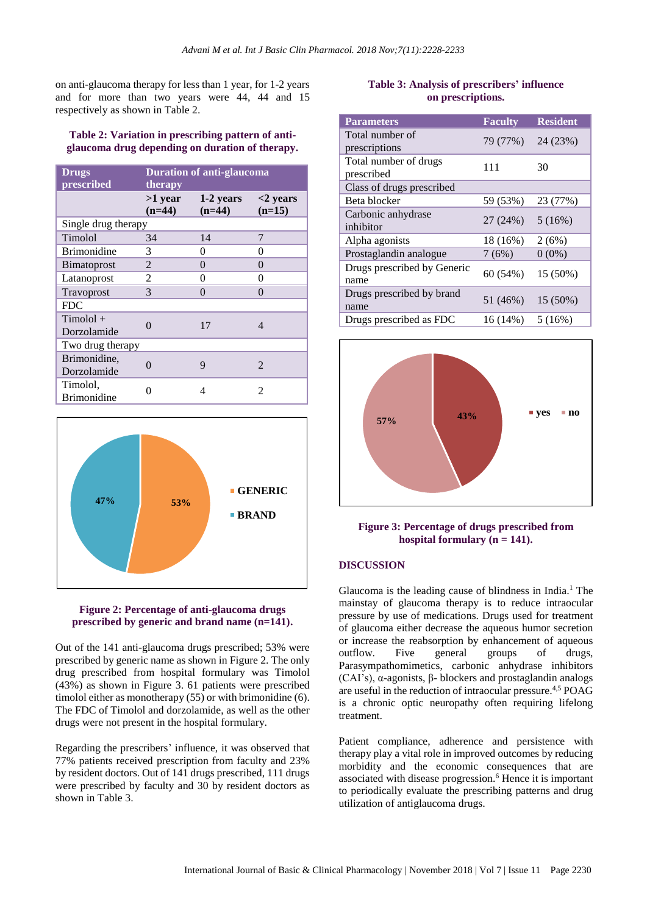on anti-glaucoma therapy for less than 1 year, for 1-2 years and for more than two years were 44, 44 and 15 respectively as shown in Table 2.

#### **Table 2: Variation in prescribing pattern of antiglaucoma drug depending on duration of therapy.**

| <b>Drugs</b><br>prescribed     | <b>Duration of anti-glaucoma</b><br>therapy |                       |                             |  |
|--------------------------------|---------------------------------------------|-----------------------|-----------------------------|--|
|                                | $>1$ year<br>$(n=44)$                       | 1-2 years<br>$(n=44)$ | $<$ 2 vears<br>$(n=15)$     |  |
| Single drug therapy            |                                             |                       |                             |  |
| Timolol                        | 34                                          | 14                    | 7                           |  |
| <b>Brimonidine</b>             | 3                                           | 0                     | 0                           |  |
| <b>B</b> imatoprost            | $\mathfrak{D}$                              | 0                     | 0                           |  |
| Latanoprost                    | 2                                           | 0                     | 0                           |  |
| Travoprost                     | 3                                           | 0                     | 0                           |  |
| <b>FDC</b>                     |                                             |                       |                             |  |
| $Timolol +$<br>Dorzolamide     | ∩                                           | 17                    | $\overline{4}$              |  |
| Two drug therapy               |                                             |                       |                             |  |
| Brimonidine,<br>Dorzolamide    | 0                                           | 9                     | $\mathcal{D}_{\mathcal{A}}$ |  |
| Timolol,<br><b>Brimonidine</b> |                                             | 4                     | っ                           |  |



#### **Figure 2: Percentage of anti-glaucoma drugs prescribed by generic and brand name (n=141).**

Out of the 141 anti-glaucoma drugs prescribed; 53% were prescribed by generic name as shown in Figure 2. The only drug prescribed from hospital formulary was Timolol (43%) as shown in Figure 3. 61 patients were prescribed timolol either as monotherapy (55) or with brimonidine (6). The FDC of Timolol and dorzolamide, as well as the other drugs were not present in the hospital formulary.

Regarding the prescribers' influence, it was observed that 77% patients received prescription from faculty and 23% by resident doctors. Out of 141 drugs prescribed, 111 drugs were prescribed by faculty and 30 by resident doctors as shown in Table 3.

## **Table 3: Analysis of prescribers' influence on prescriptions.**

| <b>Parameters</b>                   | <b>Faculty</b> | <b>Resident</b> |
|-------------------------------------|----------------|-----------------|
| Total number of<br>prescriptions    | 79 (77%)       | 24 (23%)        |
| Total number of drugs<br>prescribed | 111            | 30              |
| Class of drugs prescribed           |                |                 |
| Beta blocker                        | 59 (53%)       | 23 (77%)        |
| Carbonic anhydrase<br>inhibitor     | 27 (24%)       | 5(16%)          |
| Alpha agonists                      | 18 (16%)       | 2(6%)           |
| Prostaglandin analogue              | 7(6%)          | $0(0\%)$        |
| Drugs prescribed by Generic<br>name | 60 (54%)       | 15 (50%)        |
| Drugs prescribed by brand<br>name   | 51 (46%)       | 15 (50%)        |
| Drugs prescribed as FDC             | 16 (14%)       | 5(16%)          |



#### **Figure 3: Percentage of drugs prescribed from hospital formulary (n = 141).**

## **DISCUSSION**

Glaucoma is the leading cause of blindness in India. <sup>1</sup> The mainstay of glaucoma therapy is to reduce intraocular pressure by use of medications. Drugs used for treatment of glaucoma either decrease the aqueous humor secretion or increase the reabsorption by enhancement of aqueous outflow. Five general groups of drugs, Parasympathomimetics, carbonic anhydrase inhibitors (CAI's), α-agonists, β- blockers and prostaglandin analogs are useful in the reduction of intraocular pressure.<sup>4,5</sup> POAG is a chronic optic neuropathy often requiring lifelong treatment.

Patient compliance, adherence and persistence with therapy play a vital role in improved outcomes by reducing morbidity and the economic consequences that are associated with disease progression. <sup>6</sup> Hence it is important to periodically evaluate the prescribing patterns and drug utilization of antiglaucoma drugs.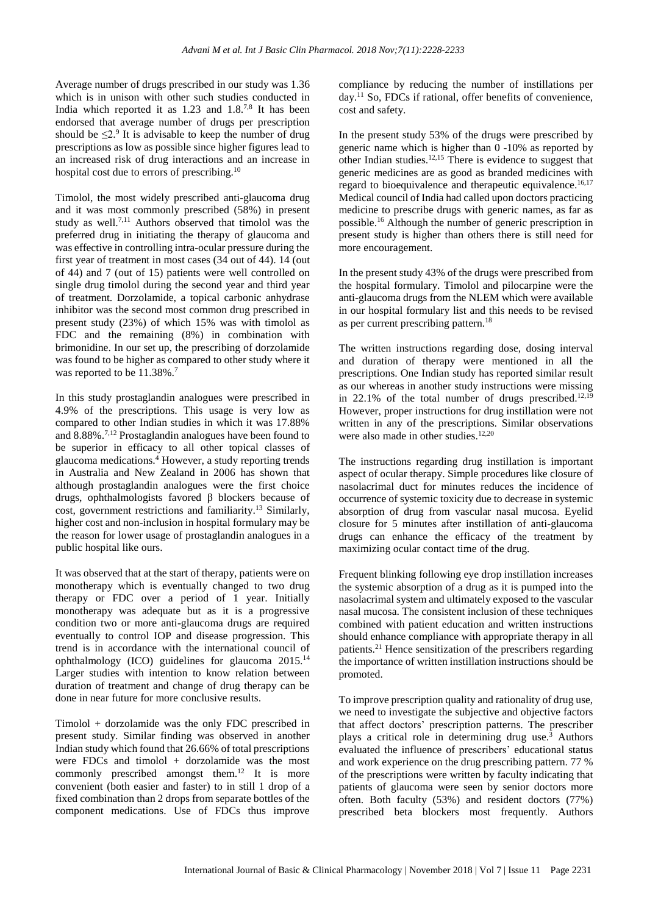Average number of drugs prescribed in our study was 1.36 which is in unison with other such studies conducted in India which reported it as  $1.23$  and  $1.8^{7,8}$  It has been endorsed that average number of drugs per prescription should be  $\leq 2$ .<sup>9</sup> It is advisable to keep the number of drug prescriptions as low as possible since higher figures lead to an increased risk of drug interactions and an increase in hospital cost due to errors of prescribing.<sup>10</sup>

Timolol, the most widely prescribed anti-glaucoma drug and it was most commonly prescribed (58%) in present study as well.<sup>7,11</sup> Authors observed that timolol was the preferred drug in initiating the therapy of glaucoma and was effective in controlling intra-ocular pressure during the first year of treatment in most cases (34 out of 44). 14 (out of 44) and 7 (out of 15) patients were well controlled on single drug timolol during the second year and third year of treatment. Dorzolamide, a topical carbonic anhydrase inhibitor was the second most common drug prescribed in present study (23%) of which 15% was with timolol as FDC and the remaining (8%) in combination with brimonidine. In our set up, the prescribing of dorzolamide was found to be higher as compared to other study where it was reported to be 11.38%.<sup>7</sup>

In this study prostaglandin analogues were prescribed in 4.9% of the prescriptions. This usage is very low as compared to other Indian studies in which it was 17.88% and 8.88%. 7,12 Prostaglandin analogues have been found to be superior in efficacy to all other topical classes of glaucoma medications. <sup>4</sup> However, a study reporting trends in Australia and New Zealand in 2006 has shown that although prostaglandin analogues were the first choice drugs, ophthalmologists favored β blockers because of cost, government restrictions and familiarity.<sup>13</sup> Similarly, higher cost and non-inclusion in hospital formulary may be the reason for lower usage of prostaglandin analogues in a public hospital like ours.

It was observed that at the start of therapy, patients were on monotherapy which is eventually changed to two drug therapy or FDC over a period of 1 year. Initially monotherapy was adequate but as it is a progressive condition two or more anti-glaucoma drugs are required eventually to control IOP and disease progression. This trend is in accordance with the international council of ophthalmology (ICO) guidelines for glaucoma 2015. 14 Larger studies with intention to know relation between duration of treatment and change of drug therapy can be done in near future for more conclusive results.

Timolol + dorzolamide was the only FDC prescribed in present study. Similar finding was observed in another Indian study which found that 26.66% of total prescriptions were FDCs and timolol + dorzolamide was the most commonly prescribed amongst them. <sup>12</sup> It is more convenient (both easier and faster) to in still 1 drop of a fixed combination than 2 drops from separate bottles of the component medications. Use of FDCs thus improve

compliance by reducing the number of instillations per day. <sup>11</sup> So, FDCs if rational, offer benefits of convenience, cost and safety.

In the present study 53% of the drugs were prescribed by generic name which is higher than 0 -10% as reported by other Indian studies. 12,15 There is evidence to suggest that generic medicines are as good as branded medicines with regard to bioequivalence and therapeutic equivalence.<sup>16,17</sup> Medical council of India had called upon doctors practicing medicine to prescribe drugs with generic names, as far as possible. <sup>16</sup> Although the number of generic prescription in present study is higher than others there is still need for more encouragement.

In the present study 43% of the drugs were prescribed from the hospital formulary. Timolol and pilocarpine were the anti-glaucoma drugs from the NLEM which were available in our hospital formulary list and this needs to be revised as per current prescribing pattern. 18

The written instructions regarding dose, dosing interval and duration of therapy were mentioned in all the prescriptions. One Indian study has reported similar result as our whereas in another study instructions were missing in 22.1% of the total number of drugs prescribed.<sup>12,19</sup> However, proper instructions for drug instillation were not written in any of the prescriptions. Similar observations were also made in other studies. 12,20

The instructions regarding drug instillation is important aspect of ocular therapy. Simple procedures like closure of nasolacrimal duct for minutes reduces the incidence of occurrence of systemic toxicity due to decrease in systemic absorption of drug from vascular nasal mucosa. Eyelid closure for 5 minutes after instillation of anti-glaucoma drugs can enhance the efficacy of the treatment by maximizing ocular contact time of the drug.

Frequent blinking following eye drop instillation increases the systemic absorption of a drug as it is pumped into the nasolacrimal system and ultimately exposed to the vascular nasal mucosa. The consistent inclusion of these techniques combined with patient education and written instructions should enhance compliance with appropriate therapy in all patients. <sup>21</sup> Hence sensitization of the prescribers regarding the importance of written instillation instructions should be promoted.

To improve prescription quality and rationality of drug use, we need to investigate the subjective and objective factors that affect doctors' prescription patterns. The prescriber plays a critical role in determining drug use. <sup>3</sup> Authors evaluated the influence of prescribers' educational status and work experience on the drug prescribing pattern. 77 % of the prescriptions were written by faculty indicating that patients of glaucoma were seen by senior doctors more often. Both faculty (53%) and resident doctors (77%) prescribed beta blockers most frequently. Authors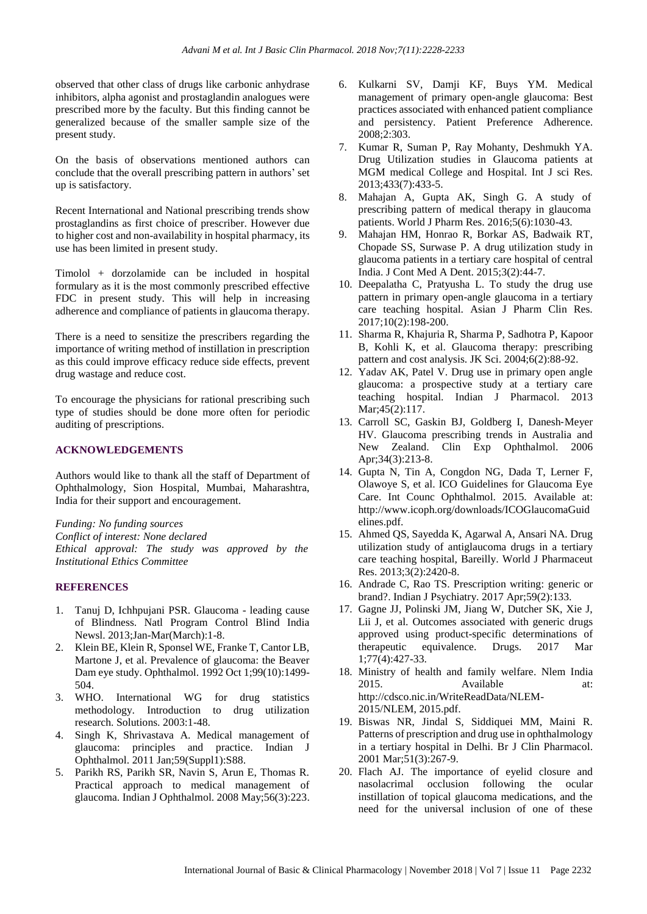observed that other class of drugs like carbonic anhydrase inhibitors, alpha agonist and prostaglandin analogues were prescribed more by the faculty. But this finding cannot be generalized because of the smaller sample size of the present study.

On the basis of observations mentioned authors can conclude that the overall prescribing pattern in authors' set up is satisfactory.

Recent International and National prescribing trends show prostaglandins as first choice of prescriber. However due to higher cost and non-availability in hospital pharmacy, its use has been limited in present study.

Timolol + dorzolamide can be included in hospital formulary as it is the most commonly prescribed effective FDC in present study. This will help in increasing adherence and compliance of patients in glaucoma therapy.

There is a need to sensitize the prescribers regarding the importance of writing method of instillation in prescription as this could improve efficacy reduce side effects, prevent drug wastage and reduce cost.

To encourage the physicians for rational prescribing such type of studies should be done more often for periodic auditing of prescriptions.

#### **ACKNOWLEDGEMENTS**

Authors would like to thank all the staff of Department of Ophthalmology, Sion Hospital, Mumbai, Maharashtra, India for their support and encouragement.

*Funding: No funding sources Conflict of interest: None declared Ethical approval: The study was approved by the Institutional Ethics Committee*

#### **REFERENCES**

- 1. Tanuj D, Ichhpujani PSR. Glaucoma leading cause of Blindness. Natl Program Control Blind India Newsl. 2013;Jan-Mar(March):1-8.
- 2. Klein BE, Klein R, Sponsel WE, Franke T, Cantor LB, Martone J, et al. Prevalence of glaucoma: the Beaver Dam eye study. Ophthalmol. 1992 Oct 1;99(10):1499- 504.
- 3. WHO. International WG for drug statistics methodology. Introduction to drug utilization research. Solutions. 2003:1-48.
- 4. Singh K, Shrivastava A. Medical management of glaucoma: principles and practice. Indian J Ophthalmol. 2011 Jan;59(Suppl1):S88.
- 5. Parikh RS, Parikh SR, Navin S, Arun E, Thomas R. Practical approach to medical management of glaucoma. Indian J Ophthalmol. 2008 May;56(3):223.
- 6. Kulkarni SV, Damji KF, Buys YM. Medical management of primary open-angle glaucoma: Best practices associated with enhanced patient compliance and persistency. Patient Preference Adherence. 2008;2:303.
- 7. Kumar R, Suman P, Ray Mohanty, Deshmukh YA. Drug Utilization studies in Glaucoma patients at MGM medical College and Hospital. Int J sci Res. 2013;433(7):433-5.
- 8. Mahajan A, Gupta AK, Singh G. A study of prescribing pattern of medical therapy in glaucoma patients. World J Pharm Res. 2016;5(6):1030-43.
- 9. Mahajan HM, Honrao R, Borkar AS, Badwaik RT, Chopade SS, Surwase P. A drug utilization study in glaucoma patients in a tertiary care hospital of central India. J Cont Med A Dent. 2015;3(2):44-7.
- 10. Deepalatha C, Pratyusha L. To study the drug use pattern in primary open-angle glaucoma in a tertiary care teaching hospital. Asian J Pharm Clin Res. 2017;10(2):198-200.
- 11. Sharma R, Khajuria R, Sharma P, Sadhotra P, Kapoor B, Kohli K, et al. Glaucoma therapy: prescribing pattern and cost analysis. JK Sci. 2004;6(2):88-92.
- 12. Yadav AK, Patel V. Drug use in primary open angle glaucoma: a prospective study at a tertiary care teaching hospital. Indian J Pharmacol. 2013 Mar;45(2):117.
- 13. Carroll SC, Gaskin BJ, Goldberg I, Danesh‐Meyer HV. Glaucoma prescribing trends in Australia and New Zealand. Clin Exp Ophthalmol. 2006 Apr;34(3):213-8.
- 14. Gupta N, Tin A, Congdon NG, Dada T, Lerner F, Olawoye S, et al. ICO Guidelines for Glaucoma Eye Care. Int Counc Ophthalmol. 2015. Available at: http://www.icoph.org/downloads/ICOGlaucomaGuid elines.pdf.
- 15. Ahmed QS, Sayedda K, Agarwal A, Ansari NA. Drug utilization study of antiglaucoma drugs in a tertiary care teaching hospital, Bareilly. World J Pharmaceut Res. 2013;3(2):2420-8.
- 16. Andrade C, Rao TS. Prescription writing: generic or brand?. Indian J Psychiatry. 2017 Apr;59(2):133.
- 17. Gagne JJ, Polinski JM, Jiang W, Dutcher SK, Xie J, Lii J, et al. Outcomes associated with generic drugs approved using product-specific determinations of therapeutic equivalence. Drugs. 2017 Mar 1;77(4):427-33.
- 18. Ministry of health and family welfare. Nlem India 2015. Available at: http://cdsco.nic.in/WriteReadData/NLEM-2015/NLEM, 2015.pdf.
- 19. Biswas NR, Jindal S, Siddiquei MM, Maini R. Patterns of prescription and drug use in ophthalmology in a tertiary hospital in Delhi. Br J Clin Pharmacol. 2001 Mar;51(3):267-9.
- 20. Flach AJ. The importance of eyelid closure and nasolacrimal occlusion following the ocular instillation of topical glaucoma medications, and the need for the universal inclusion of one of these